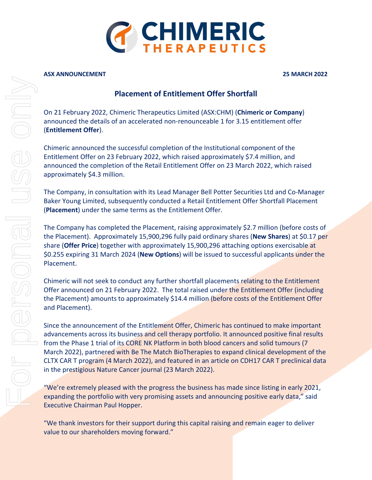

#### **ASX ANNOUNCEMENT 25 MARCH 2022**

# **Placement of Entitlement Offer Shortfall**

On 21 February 2022, Chimeric Therapeutics Limited (ASX:CHM) (**Chimeric or Company**) announced the details of an accelerated non-renounceable 1 for 3.15 entitlement offer (**Entitlement Offer**).

Chimeric announced the successful completion of the Institutional component of the Entitlement Offer on 23 February 2022, which raised approximately \$7.4 million, and announced the completion of the Retail Entitlement Offer on 23 March 2022, which raised approximately \$4.3 million.

The Company, in consultation with its Lead Manager Bell Potter Securities Ltd and Co-Manager Baker Young Limited, subsequently conducted a Retail Entitlement Offer Shortfall Placement (**Placement**) under the same terms as the Entitlement Offer.

The Company has completed the Placement, raising approximately \$2.7 million (before costs of the Placement). Approximately 15,900,296 fully paid ordinary shares (**New Shares**) at \$0.17 per share (**Offer Price**) together with approximately 15,900,296 attaching options exercisable at \$0.255 expiring 31 March 2024 (**New Options**) will be issued to successful applicants under the Placement.

Chimeric will not seek to conduct any further shortfall placements relating to the Entitlement Offer announced on 21 February 2022. The total raised under the Entitlement Offer (including the Placement) amounts to approximately \$14.4 million (before costs of the Entitlement Offer and Placement).

Since the announcement of the Entitlement Offer, Chimeric has continued to make important advancements across its business and cell therapy portfolio. It announced positive final results from the Phase 1 trial of its CORE NK Platform in both blood cancers and solid tumours (7 March 2022), partnered with Be The Match BioTherapies to expand clinical development of the CLTX CAR T program (4 March 2022), and featured in an article on CDH17 CAR T preclinical data in the prestigious Nature Cancer journal (23 March 2022).

"We're extremely pleased with the progress the business has made since listing in early 2021, expanding the portfolio with very promising assets and announcing positive early data," said Executive Chairman Paul Hopper.

"We thank investors for their support during this capital raising and remain eager to deliver value to our shareholders moving forward."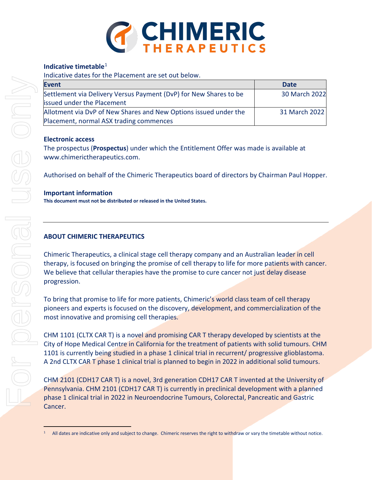

### **Indicative timetable**[1](#page-1-0)

Indicative dates for the Placement are set out below.

| <b>Event</b>                                                      | <b>Date</b>   |
|-------------------------------------------------------------------|---------------|
| Settlement via Delivery Versus Payment (DvP) for New Shares to be | 30 March 2022 |
| <b>lissued under the Placement</b>                                |               |
| Allotment via DvP of New Shares and New Options issued under the  | 31 March 2022 |
| Placement, normal ASX trading commences                           |               |

## **Electronic access**

The prospectus (**Prospectus**) under which the Entitlement Offer was made is available at www.chimerictherapeutics.com.

Authorised on behalf of the Chimeric Therapeutics board of directors by Chairman Paul Hopper.

#### **Important information**

**This document must not be distributed or released in the United States.**

## **ABOUT CHIMERIC THERAPEUTICS**

Chimeric Therapeutics, a clinical stage cell therapy company and an Australian leader in cell therapy, is focused on bringing the promise of cell therapy to life for more patients with cancer. We believe that cellular therapies have the promise to cure cancer not just delay disease progression.

To bring that promise to life for more patients, Chimeric's world class team of cell therapy pioneers and experts is focused on the discovery, development, and commercialization of the most innovative and promising cell therapies.

CHM 1101 (CLTX CAR T) is a novel and promising CAR T therapy developed by scientists at the City of Hope Medical Centre in California for the treatment of patients with solid tumours. CHM 1101 is currently being studied in a phase 1 clinical trial in recurrent/ progressive glioblastoma. A 2nd CLTX CAR T phase 1 clinical trial is planned to begin in 2022 in additional solid tumours.

CHM 2101 (CDH17 CAR T) is a novel, 3rd generation CDH17 CAR T invented at the University of Pennsylvania. CHM 2101 (CDH17 CAR T) is currently in preclinical development with a planned phase 1 clinical trial in 2022 in Neuroendocrine Tumours, Colorectal, Pancreatic and Gastric Cancer.

<span id="page-1-0"></span>All dates are indicative only and subject to change. Chimeric reserves the right to withdraw or vary the timetable without notice.